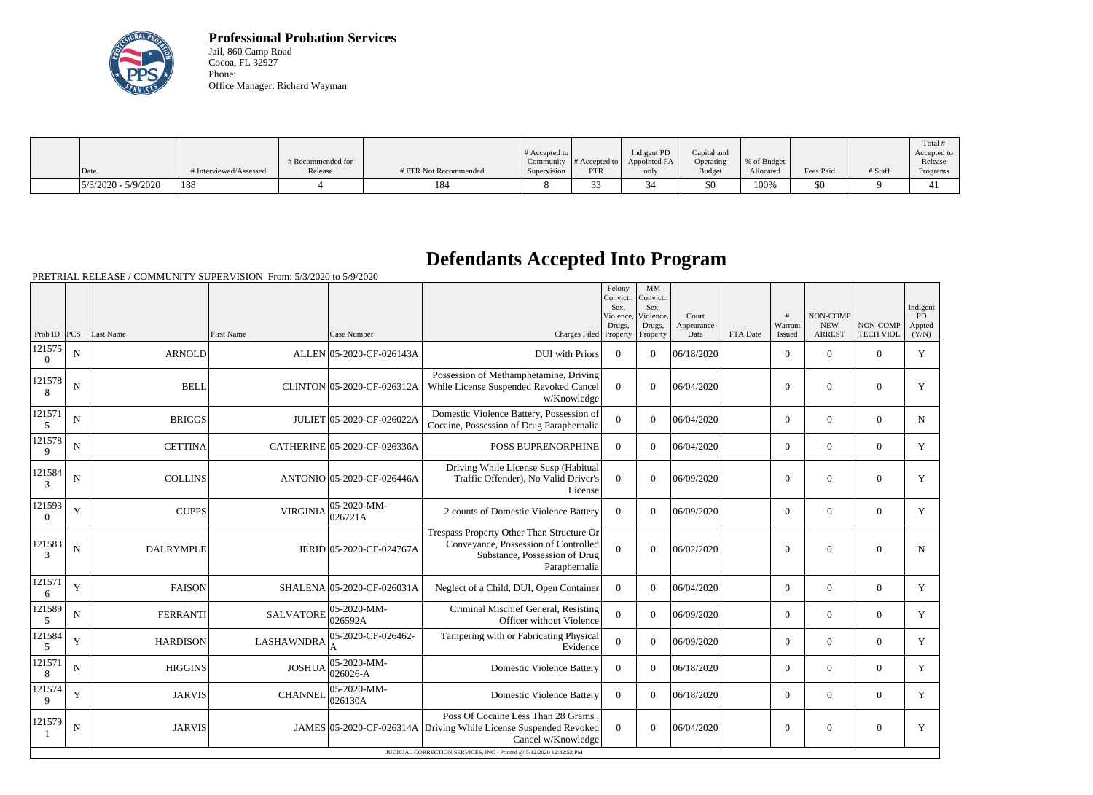

**Professional Probation Services** Jail, 860 Camp Road Cocoa, FL 32927 Phone: Office Manager: Richard Wayman

| Date                  | # Interviewed/Assessed | # Recommended for<br>Release | # PTR Not Recommended | $\#$ Accepted to $\parallel$<br>Supervision | <b>PTR</b> | Indigent PD<br>Community $ #$ Accepted to $ $ Appointed FA<br>only | Capital and<br>Operating<br><b>Budget</b> | % of Budget<br>Allocated | Fees Paid | # Staff | Total<br>Accepted to<br>Release<br>Programs |
|-----------------------|------------------------|------------------------------|-----------------------|---------------------------------------------|------------|--------------------------------------------------------------------|-------------------------------------------|--------------------------|-----------|---------|---------------------------------------------|
| $5/3/2020 - 5/9/2020$ | <sup>188</sup>         |                              | 184                   |                                             |            |                                                                    | \$0                                       | 100%                     | \$0       |         | 4 I                                         |

## **Defendants Accepted Into Program**

PRETRIAL RELEASE / COMMUNITY SUPERVISION From: 5/3/2020 to 5/9/2020

|                         |                                                                     |                  |                   |                              |                                                                                                                                     | Felony<br>Convict.:<br>Sex,<br>Violence, | MM<br>Convict.:<br>Sex,<br>Violence, | Court              |          |                   | <b>NON-COMP</b>             |                              | Indigent<br>PD  |
|-------------------------|---------------------------------------------------------------------|------------------|-------------------|------------------------------|-------------------------------------------------------------------------------------------------------------------------------------|------------------------------------------|--------------------------------------|--------------------|----------|-------------------|-----------------------------|------------------------------|-----------------|
| Prob ID $ PCS $         |                                                                     | Last Name        | <b>First Name</b> | Case Number                  | Charges Filed Property                                                                                                              | Drugs,                                   | Drugs,<br>Property                   | Appearance<br>Date | FTA Date | Warrant<br>Issued | <b>NEW</b><br><b>ARREST</b> | NON-COMP<br><b>TECH VIOL</b> | Appted<br>(Y/N) |
| 121575<br>$\Omega$      | ${\bf N}$                                                           | <b>ARNOLD</b>    |                   | ALLEN 05-2020-CF-026143A     | <b>DUI</b> with Priors                                                                                                              | $\overline{0}$                           | $\Omega$                             | 06/18/2020         |          | $\overline{0}$    | $\overline{0}$              | $\Omega$                     | $\mathbf Y$     |
| 121578<br>8             | ${\bf N}$                                                           | <b>BELL</b>      |                   | CLINTON 05-2020-CF-026312A   | Possession of Methamphetamine, Driving<br>While License Suspended Revoked Cancel<br>w/Knowledge                                     | $\Omega$                                 | $\theta$                             | 06/04/2020         |          | $\overline{0}$    | $\theta$                    | $\overline{0}$               | Y               |
| 121571<br>5             | $\mathbf N$                                                         | <b>BRIGGS</b>    |                   | JULIET 05-2020-CF-026022A    | Domestic Violence Battery, Possession of<br>Cocaine, Possession of Drug Paraphernalia                                               | $\Omega$                                 | $\Omega$                             | 06/04/2020         |          | $\Omega$          | $\theta$                    | $\Omega$                     | $\mathbf N$     |
| 121578<br>$\mathbf{Q}$  | ${\bf N}$                                                           | <b>CETTINA</b>   |                   | CATHERINE 05-2020-CF-026336A | POSS BUPRENORPHINE                                                                                                                  | $\overline{0}$                           | $\Omega$                             | 06/04/2020         |          | $\overline{0}$    | $\theta$                    | $\overline{0}$               | Y               |
| 121584<br>$\mathcal{R}$ | ${\bf N}$                                                           | <b>COLLINS</b>   |                   | ANTONIO 05-2020-CF-026446A   | Driving While License Susp (Habitual<br>Traffic Offender), No Valid Driver's<br>License                                             | $\overline{0}$                           | $\overline{0}$                       | 06/09/2020         |          | $\overline{0}$    | $\boldsymbol{0}$            | $\mathbf{0}$                 | $\mathbf Y$     |
| 121593<br>$\Omega$      | $\mathbf Y$                                                         | <b>CUPPS</b>     | <b>VIRGINIA</b>   | 05-2020-MM-<br>026721A       | 2 counts of Domestic Violence Battery                                                                                               | $\Omega$                                 | $\Omega$                             | 06/09/2020         |          | $\overline{0}$    | $\boldsymbol{0}$            | $\overline{0}$               | Y               |
| 121583<br>3             | ${\bf N}$                                                           | <b>DALRYMPLE</b> |                   | JERID 05-2020-CF-024767A     | Trespass Property Other Than Structure Or<br>Conveyance, Possession of Controlled<br>Substance, Possession of Drug<br>Paraphernalia | $\theta$                                 | $\overline{0}$                       | 06/02/2020         |          | $\theta$          | $\theta$                    | $\overline{0}$               | N               |
| 121571<br>6             | $\mathbf Y$                                                         | <b>FAISON</b>    |                   | SHALENA 05-2020-CF-026031A   | Neglect of a Child, DUI, Open Container                                                                                             | $\Omega$                                 | $\Omega$                             | 06/04/2020         |          | $\overline{0}$    | $\mathbf{0}$                | $\overline{0}$               | Y               |
| 121589<br>5             | ${\bf N}$                                                           | <b>FERRANTI</b>  | <b>SALVATORE</b>  | 05-2020-MM-<br>026592A       | Criminal Mischief General, Resisting<br>Officer without Violence                                                                    | $\mathbf{0}$                             | $\overline{0}$                       | 06/09/2020         |          | $\overline{0}$    | $\theta$                    | $\overline{0}$               | $\mathbf Y$     |
| 121584<br>5             | $\mathbf Y$                                                         | <b>HARDISON</b>  | <b>LASHAWNDRA</b> | 05-2020-CF-026462-           | Tampering with or Fabricating Physical<br>Evidence                                                                                  | $\overline{0}$                           | $\Omega$                             | 06/09/2020         |          | $\overline{0}$    | $\theta$                    | $\overline{0}$               | Y               |
| 121571<br>8             | ${\bf N}$                                                           | <b>HIGGINS</b>   | <b>JOSHUA</b>     | 05-2020-MM-<br>$026026 - A$  | <b>Domestic Violence Battery</b>                                                                                                    | $\Omega$                                 | $\Omega$                             | 06/18/2020         |          | $\overline{0}$    | $\theta$                    | $\overline{0}$               | Y               |
| 121574<br>9             | $\mathbf Y$                                                         | <b>JARVIS</b>    | <b>CHANNEL</b>    | 05-2020-MM-<br>026130A       | <b>Domestic Violence Battery</b>                                                                                                    | $\overline{0}$                           | $\overline{0}$                       | 06/18/2020         |          | $\overline{0}$    | $\boldsymbol{0}$            | $\overline{0}$               | $\mathbf Y$     |
| 121579                  | $\mathbf N$                                                         | <b>JARVIS</b>    |                   |                              | Poss Of Cocaine Less Than 28 Grams.<br>JAMES 05-2020-CF-026314A Driving While License Suspended Revoked<br>Cancel w/Knowledge       | $\Omega$                                 | $\theta$                             | 06/04/2020         |          | $\overline{0}$    | $\overline{0}$              | $\overline{0}$               | Y               |
|                         | JUDICIAL CORRECTION SERVICES, INC - Printed @ 5/12/2020 12:42:52 PM |                  |                   |                              |                                                                                                                                     |                                          |                                      |                    |          |                   |                             |                              |                 |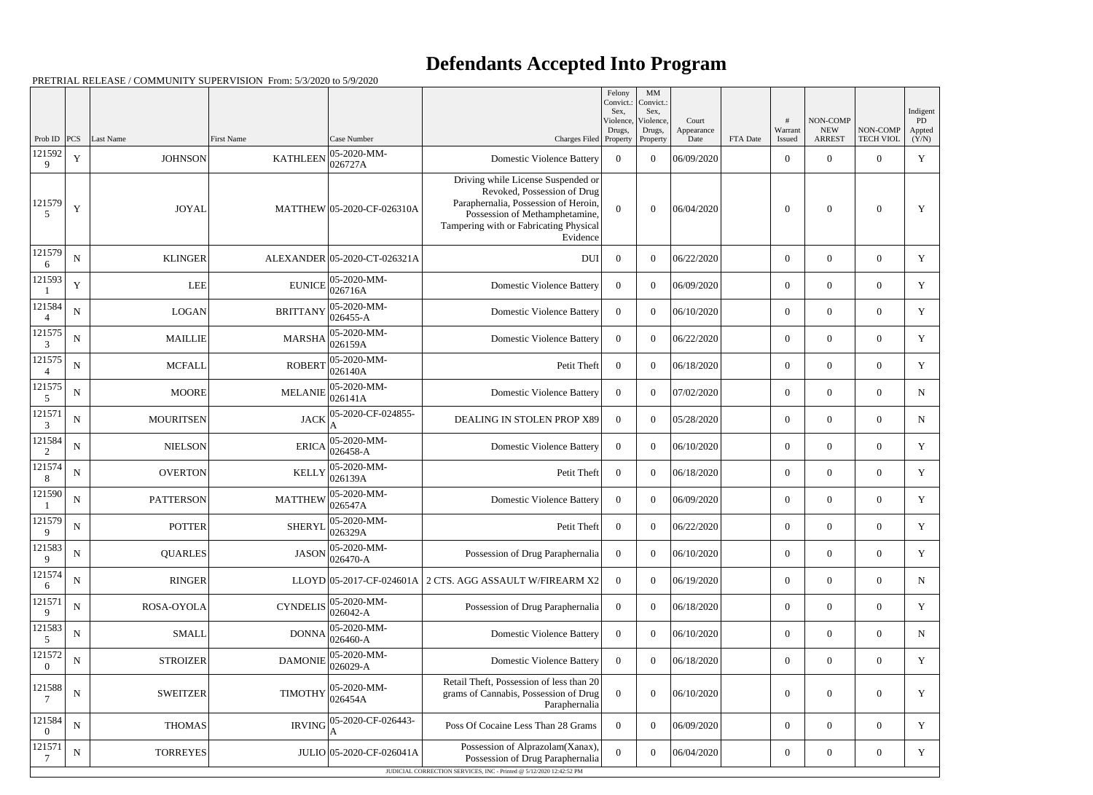## **Defendants Accepted Into Program**

PRETRIAL RELEASE / COMMUNITY SUPERVISION From: 5/3/2020 to 5/9/2020

|                          |             |                  |                                                                 |                              |                                                                                                                                                                                                   | Felony<br>Convict.:<br>Sex. | MM<br>Convict.:<br>Sex, |                     |          |                  |                        |                  | Indigent     |
|--------------------------|-------------|------------------|-----------------------------------------------------------------|------------------------------|---------------------------------------------------------------------------------------------------------------------------------------------------------------------------------------------------|-----------------------------|-------------------------|---------------------|----------|------------------|------------------------|------------------|--------------|
|                          |             |                  |                                                                 |                              |                                                                                                                                                                                                   | Violence,<br>Drugs,         | Violence,<br>Drugs,     | Court<br>Appearance |          | #<br>Warrant     | NON-COMP<br><b>NEW</b> | NON-COMP         | PD<br>Appted |
| Prob ID<br>121592        | PCS         | Last Name        | <b>First Name</b>                                               | Case Number<br>05-2020-MM-   | Charges Filed Property                                                                                                                                                                            |                             | Property                | Date                | FTA Date | Issued           | <b>ARREST</b>          | <b>TECH VIOL</b> | (Y/N)        |
| 9                        | $\mathbf Y$ | <b>JOHNSON</b>   | <b>KATHLEEN</b>                                                 | 026727A                      | <b>Domestic Violence Battery</b>                                                                                                                                                                  | $\overline{0}$              | $\overline{0}$          | 06/09/2020          |          | $\boldsymbol{0}$ | $\theta$               | $\overline{0}$   | $\mathbf Y$  |
| 121579<br>5              | Y           | <b>JOYAL</b>     |                                                                 | MATTHEW 05-2020-CF-026310A   | Driving while License Suspended or<br>Revoked, Possession of Drug<br>Paraphernalia, Possession of Heroin,<br>Possession of Methamphetamine,<br>Tampering with or Fabricating Physical<br>Evidence | $\theta$                    | $\Omega$                | 06/04/2020          |          | $\theta$         | $\overline{0}$         | $\boldsymbol{0}$ | Y            |
| 121579<br>6              | ${\bf N}$   | <b>KLINGER</b>   |                                                                 | ALEXANDER 05-2020-CT-026321A | <b>DUI</b>                                                                                                                                                                                        | $\overline{0}$              | $\theta$                | 06/22/2020          |          | $\overline{0}$   | $\overline{0}$         | $\overline{0}$   | Y            |
| 121593                   | Y           | <b>LEE</b>       | <b>EUNICE</b>                                                   | 05-2020-MM-<br>026716A       | <b>Domestic Violence Battery</b>                                                                                                                                                                  | $\overline{0}$              | $\theta$                | 06/09/2020          |          | $\overline{0}$   | $\theta$               | $\overline{0}$   | Y            |
| 121584                   | ${\bf N}$   | LOGAN            | <b>BRITTANY</b>                                                 | 05-2020-MM-<br>$026455 - A$  | <b>Domestic Violence Battery</b>                                                                                                                                                                  | $\overline{0}$              | $\theta$                | 06/10/2020          |          | $\overline{0}$   | $\overline{0}$         | $\overline{0}$   | $\mathbf Y$  |
| 121575<br>3              | ${\bf N}$   | <b>MAILLIE</b>   | <b>MARSHA</b>                                                   | 05-2020-MM-<br>026159A       | <b>Domestic Violence Battery</b>                                                                                                                                                                  | $\overline{0}$              | $\overline{0}$          | 06/22/2020          |          | $\overline{0}$   | $\theta$               | $\overline{0}$   | Y            |
| 121575                   | N           | <b>MCFALL</b>    | <b>ROBERT</b>                                                   | 05-2020-MM-<br>026140A       | Petit Theft                                                                                                                                                                                       | $\overline{0}$              | $\theta$                | 06/18/2020          |          | $\overline{0}$   | $\overline{0}$         | $\overline{0}$   | Y            |
| 121575<br>5              | ${\bf N}$   | <b>MOORE</b>     | <b>MELANIE</b>                                                  | 05-2020-MM-<br>026141A       | <b>Domestic Violence Battery</b>                                                                                                                                                                  | $\overline{0}$              | $\theta$                | 07/02/2020          |          | $\overline{0}$   | $\theta$               | $\overline{0}$   | N            |
| 121571<br>3              | ${\bf N}$   | <b>MOURITSEN</b> | <b>JACK</b>                                                     | 05-2020-CF-024855-           | DEALING IN STOLEN PROP X89                                                                                                                                                                        | $\overline{0}$              | $\theta$                | 05/28/2020          |          | $\overline{0}$   | $\overline{0}$         | $\overline{0}$   | N            |
| 121584<br>2              | ${\bf N}$   | <b>NIELSON</b>   | <b>ERICA</b>                                                    | 05-2020-MM-<br>026458-A      | <b>Domestic Violence Battery</b>                                                                                                                                                                  | $\overline{0}$              | $\overline{0}$          | 06/10/2020          |          | $\overline{0}$   | $\Omega$               | $\overline{0}$   | Y            |
| 121574<br>8              | N           | <b>OVERTON</b>   | <b>KELLY</b>                                                    | 05-2020-MM-<br>026139A       | Petit Theft                                                                                                                                                                                       | $\overline{0}$              | $\theta$                | 06/18/2020          |          | $\overline{0}$   | $\overline{0}$         | $\overline{0}$   | Y            |
| 121590                   | $\mathbf N$ | <b>PATTERSON</b> | <b>MATTHEW</b>                                                  | 05-2020-MM-<br>026547A       | <b>Domestic Violence Battery</b>                                                                                                                                                                  | $\overline{0}$              | $\overline{0}$          | 06/09/2020          |          | $\overline{0}$   | $\theta$               | $\overline{0}$   | Y            |
| 121579<br>9              | ${\bf N}$   | <b>POTTER</b>    | SHERYL $\begin{bmatrix} 0 & 2 & -1 \\ 0 & 26329A \end{bmatrix}$ | 05-2020-MM-                  | Petit Theft                                                                                                                                                                                       | $\boldsymbol{0}$            | $\overline{0}$          | 06/22/2020          |          | $\overline{0}$   | $\overline{0}$         | $\overline{0}$   | Y            |
| 121583<br>9              | ${\bf N}$   | <b>QUARLES</b>   | <b>JASON</b>                                                    | 05-2020-MM-<br>026470-A      | Possession of Drug Paraphernalia                                                                                                                                                                  | $\overline{0}$              | $\overline{0}$          | 06/10/2020          |          | $\overline{0}$   | $\overline{0}$         | $\overline{0}$   | Y            |
| 121574<br>6              | ${\bf N}$   | <b>RINGER</b>    |                                                                 |                              | LLOYD 05-2017-CF-024601A 2 CTS. AGG ASSAULT W/FIREARM X2                                                                                                                                          | $\overline{0}$              | $\theta$                | 06/19/2020          |          | $\boldsymbol{0}$ | $\overline{0}$         | $\boldsymbol{0}$ | $\mathbf N$  |
| 121571<br>9              | ${\bf N}$   | ROSA-OYOLA       | <b>CYNDELIS</b>                                                 | 05-2020-MM-<br>026042-A      | Possession of Drug Paraphernalia                                                                                                                                                                  | $\overline{0}$              | $\overline{0}$          | 06/18/2020          |          | $\overline{0}$   | $\overline{0}$         | $\overline{0}$   | Y            |
| 121583<br>5              | ${\bf N}$   | <b>SMALL</b>     | <b>DONNA</b>                                                    | 05-2020-MM-<br>026460-A      | <b>Domestic Violence Battery</b>                                                                                                                                                                  | $\overline{0}$              | $\boldsymbol{0}$        | 06/10/2020          |          | $\boldsymbol{0}$ | $\overline{0}$         | $\boldsymbol{0}$ | $\mathbf N$  |
| 121572<br>$\overline{0}$ | ${\bf N}$   | <b>STROIZER</b>  | <b>DAMONIE</b>                                                  | 05-2020-MM-<br>026029-A      | <b>Domestic Violence Battery</b>                                                                                                                                                                  | $\overline{0}$              | $\overline{0}$          | 06/18/2020          |          | $\boldsymbol{0}$ | $\overline{0}$         | $\overline{0}$   | Y            |
| 121588<br>7              | ${\bf N}$   | <b>SWEITZER</b>  | <b>TIMOTHY</b>                                                  | 05-2020-MM-<br>026454A       | Retail Theft, Possession of less than 20<br>grams of Cannabis, Possession of Drug<br>Paraphernalia                                                                                                | $\overline{0}$              | $\boldsymbol{0}$        | 06/10/2020          |          | $\boldsymbol{0}$ | $\boldsymbol{0}$       | $\boldsymbol{0}$ | Y            |
| 121584<br>$\Omega$       | ${\bf N}$   | <b>THOMAS</b>    | <b>IRVING</b>                                                   | 05-2020-CF-026443-<br>A      | Poss Of Cocaine Less Than 28 Grams                                                                                                                                                                | $\overline{0}$              | $\overline{0}$          | 06/09/2020          |          | $\overline{0}$   | $\overline{0}$         | $\overline{0}$   | Y            |
| 121571                   | $\mathbf N$ | <b>TORREYES</b>  |                                                                 | JULIO 05-2020-CF-026041A     | Possession of Alprazolam(Xanax),<br>Possession of Drug Paraphernalia                                                                                                                              | $\boldsymbol{0}$            | $\boldsymbol{0}$        | 06/04/2020          |          | $\boldsymbol{0}$ | $\overline{0}$         | $\boldsymbol{0}$ | $\mathbf Y$  |
|                          |             |                  |                                                                 |                              | JUDICIAL CORRECTION SERVICES, INC - Printed @ 5/12/2020 12:42:52 PM                                                                                                                               |                             |                         |                     |          |                  |                        |                  |              |